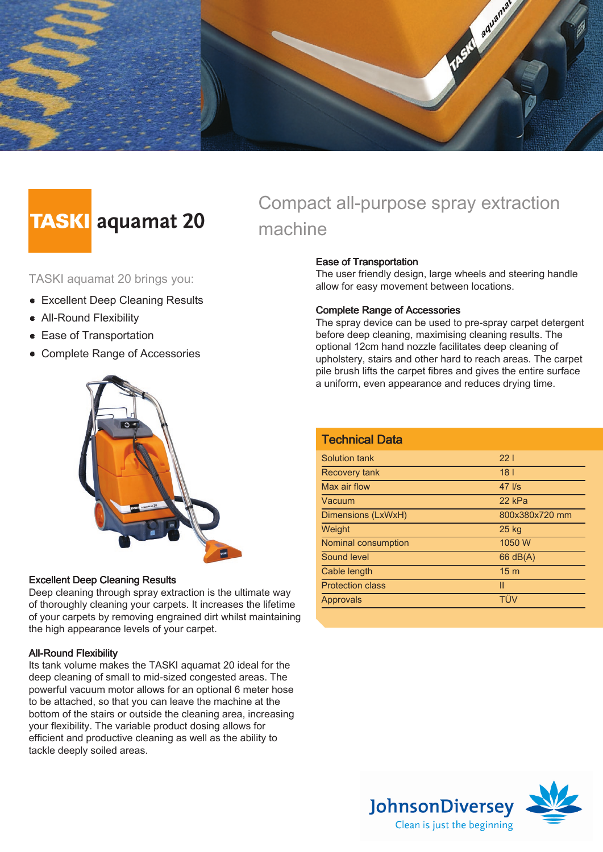

# **TASKI** aquamat 20

TASKI aquamat 20 brings you:

- **Excellent Deep Cleaning Results**
- All-Round Flexibility
- **Ease of Transportation**
- Complete Range of Accessories



### Excellent Deep Cleaning Results

Deep cleaning through spray extraction is the ultimate way of thoroughly cleaning your carpets. It increases the lifetime of your carpets by removing engrained dirt whilst maintaining the high appearance levels of your carpet.

### All-Round Flexibility

Its tank volume makes the TASKI aquamat 20 ideal for the deep cleaning of small to mid-sized congested areas. The powerful vacuum motor allows for an optional 6 meter hose to be attached, so that you can leave the machine at the bottom of the stairs or outside the cleaning area, increasing your flexibility. The variable product dosing allows for efficient and productive cleaning as well as the ability to tackle deeply soiled areas.

# Compact all-purpose spray extraction machine

### Ease of Transportation

The user friendly design, large wheels and steering handle allow for easy movement between locations.

#### Complete Range of Accessories

The spray device can be used to pre-spray carpet detergent before deep cleaning, maximising cleaning results. The optional 12cm hand nozzle facilitates deep cleaning of upholstery, stairs and other hard to reach areas. The carpet pile brush lifts the carpet fibres and gives the entire surface a uniform, even appearance and reduces drying time.

| <b>Technical Data</b>   |                   |
|-------------------------|-------------------|
| Solution tank           | 221               |
| <b>Recovery tank</b>    | 18 <sub>1</sub>   |
| Max air flow            | $47$ $\text{I/s}$ |
| Vacuum                  | 22 kPa            |
| Dimensions (LxWxH)      | 800x380x720 mm    |
| Weight                  | 25 kg             |
| Nominal consumption     | 1050 W            |
| Sound level             | $66$ dB(A)        |
| Cable length            | 15 <sub>m</sub>   |
| <b>Protection class</b> | $\mathsf{II}$     |
| Approvals               | TÜV               |
|                         |                   |